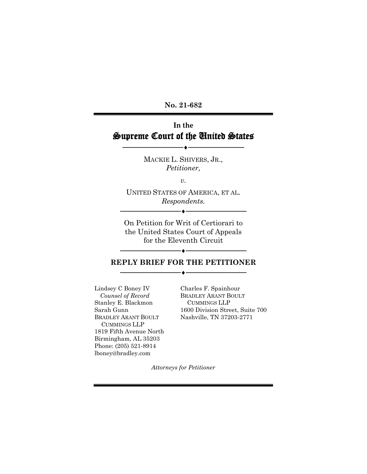**No. 21-682**

# **In the** Supreme Court of the United States

MACKIE L. SHIVERS, JR., *Petitioner,*

─────────────♦────────────

*v.*

UNITED STATES OF AMERICA, ET AL. *Respondents.*

────<del>─</del>

On Petition for Writ of Certiorari to the United States Court of Appeals for the Eleventh Circuit

### ──────────**◆───**──────────────── **REPLY BRIEF FOR THE PETITIONER** ──────────**◆───**────────────────

Lindsey C Boney IV *Counsel of Record* Stanley E. Blackmon Sarah Gunn BRADLEY ARANT BOULT CUMMINGS LLP 1819 Fifth Avenue North Birmingham, AL 35203 Phone: (205) 521-8914 lboney@bradley.com

Charles F. Spainhour BRADLEY ARANT BOULT CUMMINGS LLP 1600 Division Street, Suite 700 Nashville, TN 37203-2771

*Attorneys for Petitioner*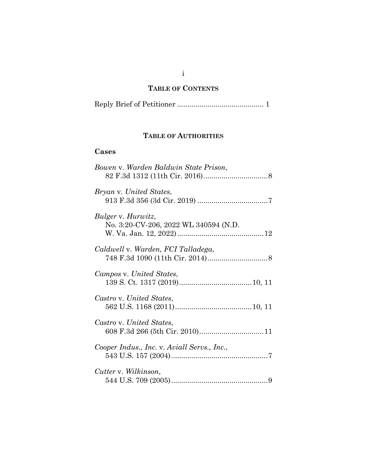#### **TABLE OF CONTENTS**

|--|--|--|

### **TABLE OF AUTHORITIES**

### **Cases**

| Bowen v. Warden Baldwin State Prison,                       |  |
|-------------------------------------------------------------|--|
| Bryan v. United States,                                     |  |
| Bulger v. Hurwitz,<br>No. 3:20-CV-206, 2022 WL 340594 (N.D. |  |
| Caldwell v. Warden, FCI Talladega,                          |  |
| Campos v. United States,                                    |  |
| Castro v. United States,                                    |  |
| Castro v. United States,                                    |  |
| Cooper Indus., Inc. v. Aviall Servs., Inc.,                 |  |
| Cutter v. Wilkinson,                                        |  |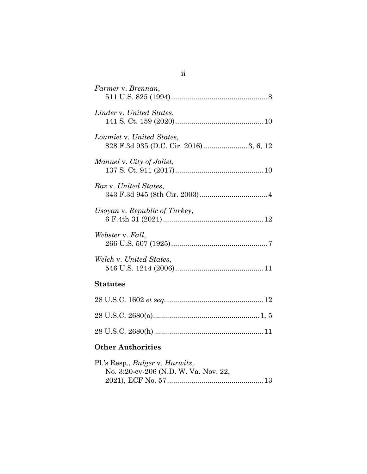| Farmer v. Brennan,            |
|-------------------------------|
| Linder v. United States,      |
| Loumiet v. United States,     |
| Manuel v. City of Joliet,     |
| Raz v. United States,         |
| Usoyan v. Republic of Turkey, |
| Webster v. Fall,              |
| Welch v. United States,       |
| <b>Statutes</b>               |
|                               |

28 U.S.C. 2680(a).....................................................1, [5](#page-8-0)

28 U.S.C. 2680(h) .....................................................[.11](#page-14-2)

2021), ECF No. 57...............................................[.13](#page-16-0)

No. 3:20-cv-206 (N.D. W. Va. Nov. 22,

**Other Authorities**

Pl.'s Resp., *Bulger* v. *Hurwitz*,

ii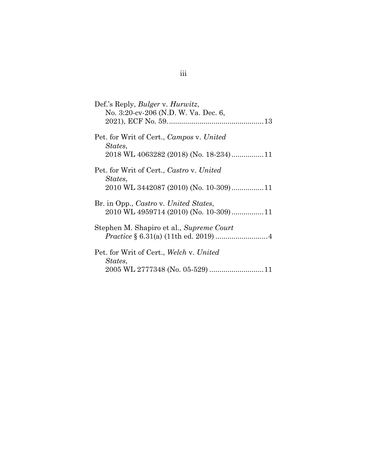| Def.'s Reply, <i>Bulger v. Hurwitz</i> ,<br>No. 3:20-cv-206 (N.D. W. Va. Dec. 6,             |
|----------------------------------------------------------------------------------------------|
| Pet. for Writ of Cert., Campos v. United<br>States,<br>2018 WL 4063282 (2018) (No. 18-234)11 |
| Pet. for Writ of Cert., Castro v. United<br>States,                                          |
| Br. in Opp., Castro v. United States,                                                        |
| Stephen M. Shapiro et al., Supreme Court                                                     |
| Pet. for Writ of Cert., Welch v. United<br>States,                                           |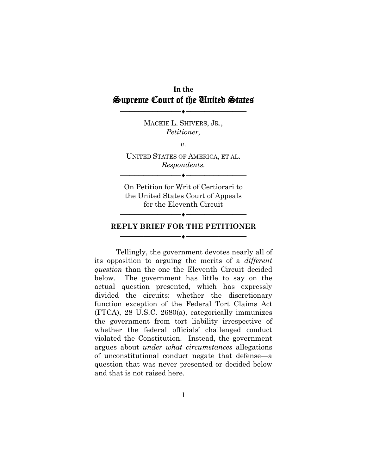# **In the** Supreme Court of the United States

──────────**◆───**────────────────

MACKIE L. SHIVERS, JR., *Petitioner,*

*v.*

UNITED STATES OF AMERICA, ET AL. *Respondents.*

─────────<del>─</del>

On Petition for Writ of Certiorari to the United States Court of Appeals for the Eleventh Circuit

#### **REPLY BRIEF FOR THE PETITIONER** ──────────**◆───**────────────────

────────────

Tellingly, the government devotes nearly all of its opposition to arguing the merits of a *different question* than the one the Eleventh Circuit decided below. The government has little to say on the actual question presented, which has expressly divided the circuits: whether the discretionary function exception of the Federal Tort Claims Act (FTCA), 28 U.S.C. 2680(a), categorically immunizes the government from tort liability irrespective of whether the federal officials' challenged conduct violated the Constitution. Instead, the government argues about *under what circumstances* allegations of unconstitutional conduct negate that defense—a question that was never presented or decided below and that is not raised here.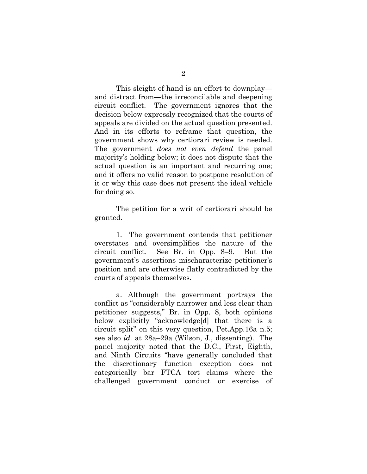This sleight of hand is an effort to downplay and distract from—the irreconcilable and deepening circuit conflict. The government ignores that the decision below expressly recognized that the courts of appeals are divided on the actual question presented. And in its efforts to reframe that question, the government shows why certiorari review is needed. The government *does not even defend* the panel majority's holding below; it does not dispute that the actual question is an important and recurring one; and it offers no valid reason to postpone resolution of it or why this case does not present the ideal vehicle for doing so.

The petition for a writ of certiorari should be granted.

1. The government contends that petitioner overstates and oversimplifies the nature of the circuit conflict. See Br. in Opp. 8–9. But the government's assertions mischaracterize petitioner's position and are otherwise flatly contradicted by the courts of appeals themselves.

a. Although the government portrays the conflict as "considerably narrower and less clear than petitioner suggests," Br. in Opp. 8, both opinions below explicitly "acknowledge[d] that there is a circuit split" on this very question, Pet.App.16a n.5; see also *id.* at 28a–29a (Wilson, J., dissenting). The panel majority noted that the D.C., First, Eighth, and Ninth Circuits "have generally concluded that the discretionary function exception does not categorically bar FTCA tort claims where the challenged government conduct or exercise of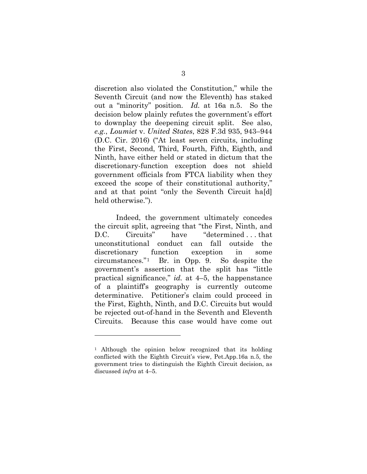<span id="page-6-0"></span>discretion also violated the Constitution," while the Seventh Circuit (and now the Eleventh) has staked out a "minority" position. *Id.* at 16a n.5. So the decision below plainly refutes the government's effort to downplay the deepening circuit split. See also, *e.g.*, *Loumiet* v. *United States*, 828 F.3d 935, 943–944 (D.C. Cir. 2016) ("At least seven circuits, including the First, Second, Third, Fourth, Fifth, Eighth, and Ninth, have either held or stated in dictum that the discretionary-function exception does not shield government officials from FTCA liability when they exceed the scope of their constitutional authority," and at that point "only the Seventh Circuit ha[d] held otherwise.").

Indeed, the government ultimately concedes the circuit split, agreeing that "the First, Ninth, and D.C. Circuits" have "determined ... that unconstitutional conduct can fall outside the discretionary function exception in some circumstances."[1](#page-6-1) Br. in Opp. 9. So despite the government's assertion that the split has "little practical significance," *id.* at 4–5, the happenstance of a plaintiff's geography is currently outcome determinative. Petitioner's claim could proceed in the First, Eighth, Ninth, and D.C. Circuits but would be rejected out-of-hand in the Seventh and Eleventh Circuits. Because this case would have come out

<span id="page-6-1"></span><sup>&</sup>lt;sup>1</sup> Although the opinion below recognized that its holding conflicted with the Eighth Circuit's view, Pet.App.16a n.5, the government tries to distinguish the Eighth Circuit decision, as discussed *infra* at 4–5.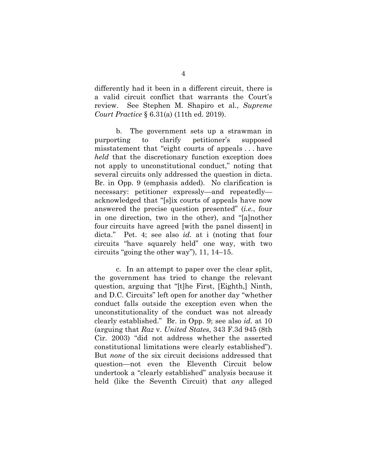<span id="page-7-1"></span>differently had it been in a different circuit, there is a valid circuit conflict that warrants the Court's review. See Stephen M. Shapiro et al., *Supreme Court Practice* § 6.31(a) (11th ed. 2019).

b. The government sets up a strawman in purporting to clarify petitioner's supposed misstatement that "eight courts of appeals . . . have *held* that the discretionary function exception does not apply to unconstitutional conduct," noting that several circuits only addressed the question in dicta. Br. in Opp. 9 (emphasis added). No clarification is necessary: petitioner expressly—and repeatedly acknowledged that "[s]ix courts of appeals have now answered the precise question presented" (*i.e.*, four in one direction, two in the other), and "[a]nother four circuits have agreed [with the panel dissent] in dicta." Pet. 4; see also *id.* at i (noting that four circuits "have squarely held" one way, with two circuits "going the other way"), 11, 14–15.

<span id="page-7-0"></span>c. In an attempt to paper over the clear split, the government has tried to change the relevant question, arguing that "[t]he First, [Eighth,] Ninth, and D.C. Circuits" left open for another day "whether conduct falls outside the exception even when the unconstitutionality of the conduct was not already clearly established." Br. in Opp. 9; see also *id.* at 10 (arguing that *Raz* v. *United States*, 343 F.3d 945 (8th Cir. 2003) "did not address whether the asserted constitutional limitations were clearly established"). But *none* of the six circuit decisions addressed that question—not even the Eleventh Circuit below undertook a "clearly established" analysis because it held (like the Seventh Circuit) that *any* alleged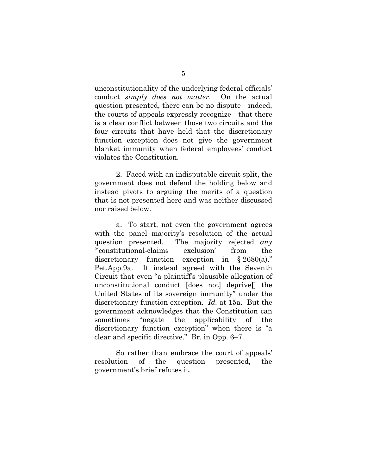unconstitutionality of the underlying federal officials' conduct *simply does not matter*. On the actual question presented, there can be no dispute—indeed, the courts of appeals expressly recognize—that there is a clear conflict between those two circuits and the four circuits that have held that the discretionary function exception does not give the government blanket immunity when federal employees' conduct violates the Constitution.

2. Faced with an indisputable circuit split, the government does not defend the holding below and instead pivots to arguing the merits of a question that is not presented here and was neither discussed nor raised below.

<span id="page-8-0"></span>a. To start, not even the government agrees with the panel majority's resolution of the actual question presented. The majority rejected *any* "'constitutional-claims exclusion' from the discretionary function exception in § 2680(a)." Pet.App.9a. It instead agreed with the Seventh Circuit that even "a plaintiff's plausible allegation of unconstitutional conduct [does not] deprive[] the United States of its sovereign immunity" under the discretionary function exception. *Id.* at 15a. But the government acknowledges that the Constitution can sometimes "negate the applicability of the discretionary function exception" when there is "a clear and specific directive." Br. in Opp. 6–7.

So rather than embrace the court of appeals' resolution of the question presented, the government's brief refutes it.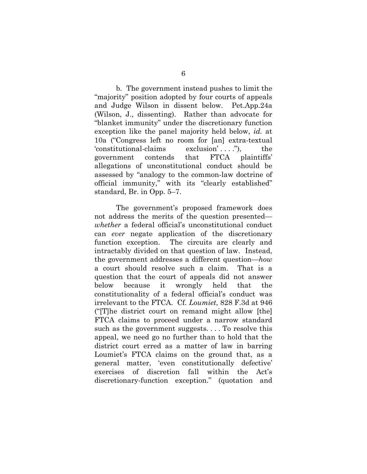b. The government instead pushes to limit the "majority" position adopted by four courts of appeals and Judge Wilson in dissent below. Pet.App.24a (Wilson, J., dissenting). Rather than advocate for "blanket immunity" under the discretionary function exception like the panel majority held below, *id.* at 10a ("Congress left no room for [an] extra-textual 'constitutional-claims exclusion' . . . ."), the government contends that FTCA plaintiffs' allegations of unconstitutional conduct should be assessed by "analogy to the common-law doctrine of official immunity," with its "clearly established" standard, Br. in Opp. 5–7.

<span id="page-9-0"></span>The government's proposed framework does not address the merits of the question presented *whether* a federal official's unconstitutional conduct can *ever* negate application of the discretionary function exception. The circuits are clearly and intractably divided on that question of law. Instead, the government addresses a different question—*how* a court should resolve such a claim. That is a question that the court of appeals did not answer below because it wrongly held that the constitutionality of a federal official's conduct was irrelevant to the FTCA. Cf. *Loumiet*, 828 F.3d at 946 ("[T]he district court on remand might allow [the] FTCA claims to proceed under a narrow standard such as the government suggests. . . . To resolve this appeal, we need go no further than to hold that the district court erred as a matter of law in barring Loumiet's FTCA claims on the ground that, as a general matter, 'even constitutionally defective' exercises of discretion fall within the Act's discretionary-function exception." (quotation and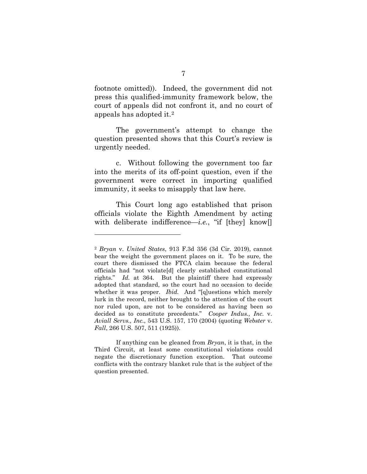footnote omitted)). Indeed, the government did not press this qualified-immunity framework below, the court of appeals did not confront it, and no court of appeals has adopted it.[2](#page-10-3)

The government's attempt to change the question presented shows that this Court's review is urgently needed.

c. Without following the government too far into the merits of its off-point question, even if the government were correct in importing qualified immunity, it seeks to misapply that law here.

This Court long ago established that prison officials violate the Eighth Amendment by acting with deliberate indifference—*i.e.*, "if [they] know]

<span id="page-10-2"></span><span id="page-10-1"></span>If anything can be gleaned from *Bryan*, it is that, in the Third Circuit, at least some constitutional violations could negate the discretionary function exception. That outcome conflicts with the contrary blanket rule that is the subject of the question presented.

<span id="page-10-3"></span><span id="page-10-0"></span><sup>2</sup> *Bryan* v. *United States*, 913 F.3d 356 (3d Cir. 2019), cannot bear the weight the government places on it. To be sure, the court there dismissed the FTCA claim because the federal officials had "not violate[d] clearly established constitutional rights." *Id.* at 364. But the plaintiff there had expressly adopted that standard, so the court had no occasion to decide whether it was proper. *Ibid.* And "[g]uestions which merely lurk in the record, neither brought to the attention of the court nor ruled upon, are not to be considered as having been so decided as to constitute precedents." *Cooper Indus., Inc.* v. *Aviall Servs., Inc.*, 543 U.S. 157, 170 (2004) (quoting *Webster* v. *Fall*, 266 U.S. 507, 511 (1925)).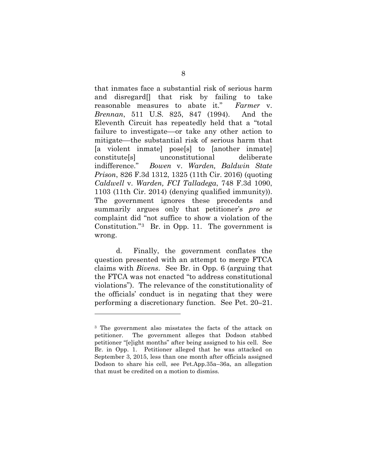<span id="page-11-2"></span><span id="page-11-0"></span>that inmates face a substantial risk of serious harm and disregard[] that risk by failing to take reasonable measures to abate it." *Farmer* v. *Brennan*, 511 U.S. 825, 847 (1994). And the Eleventh Circuit has repeatedly held that a "total failure to investigate—or take any other action to mitigate––the substantial risk of serious harm that [a violent inmate] pose[s] to [another inmate] constitute[s] unconstitutional deliberate indifference." *Bowen* v. *Warden, Baldwin State Prison*, 826 F.3d 1312, 1325 (11th Cir. 2016) (quoting *Caldwell* v. *Warden, FCI Talladega*, 748 F.3d 1090, 1103 (11th Cir. 2014) (denying qualified immunity)). The government ignores these precedents and summarily argues only that petitioner's *pro se*  complaint did "not suffice to show a violation of the Constitution."[3](#page-11-3) Br. in Opp. 11. The government is wrong.

<span id="page-11-1"></span>d. Finally, the government conflates the question presented with an attempt to merge FTCA claims with *Bivens*. See Br. in Opp. 6 (arguing that the FTCA was not enacted "to address constitutional violations"). The relevance of the constitutionality of the officials' conduct is in negating that they were performing a discretionary function. See Pet. 20–21.

<span id="page-11-3"></span><sup>3</sup> The government also misstates the facts of the attack on petitioner. The government alleges that Dodson stabbed petitioner "[e]ight months" after being assigned to his cell. See Br. in Opp. 1. Petitioner alleged that he was attacked on September 3, 2015, less than one month after officials assigned Dodson to share his cell, see Pet.App.35a–36a, an allegation that must be credited on a motion to dismiss.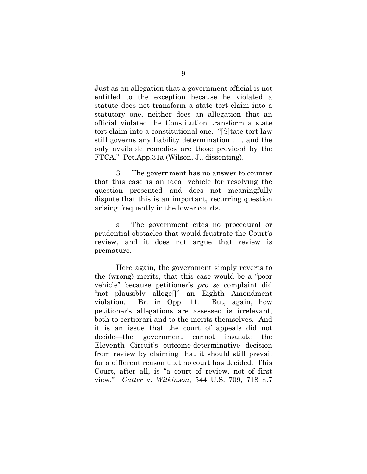Just as an allegation that a government official is not entitled to the exception because he violated a statute does not transform a state tort claim into a statutory one, neither does an allegation that an official violated the Constitution transform a state tort claim into a constitutional one. "[S]tate tort law still governs any liability determination . . . and the only available remedies are those provided by the FTCA." Pet.App.31a (Wilson, J., dissenting).

3. The government has no answer to counter that this case is an ideal vehicle for resolving the question presented and does not meaningfully dispute that this is an important, recurring question arising frequently in the lower courts.

a. The government cites no procedural or prudential obstacles that would frustrate the Court's review, and it does not argue that review is premature.

<span id="page-12-0"></span>Here again, the government simply reverts to the (wrong) merits, that this case would be a "poor vehicle" because petitioner's *pro se* complaint did "not plausibly allege[]" an Eighth Amendment violation. Br. in Opp. 11. But, again, how petitioner's allegations are assessed is irrelevant, both to certiorari and to the merits themselves. And it is an issue that the court of appeals did not decide—the government cannot insulate the Eleventh Circuit's outcome-determinative decision from review by claiming that it should still prevail for a different reason that no court has decided. This Court, after all, is "a court of review, not of first view." *Cutter* v. *Wilkinson*, 544 U.S. 709, 718 n.7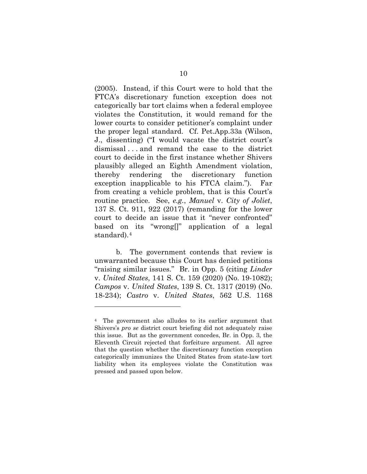(2005). Instead, if this Court were to hold that the FTCA's discretionary function exception does not categorically bar tort claims when a federal employee violates the Constitution, it would remand for the lower courts to consider petitioner's complaint under the proper legal standard. Cf. Pet.App.33a (Wilson, J., dissenting) ("I would vacate the district court's dismissal . . . and remand the case to the district court to decide in the first instance whether Shivers plausibly alleged an Eighth Amendment violation, thereby rendering the discretionary function exception inapplicable to his FTCA claim."). Far from creating a vehicle problem, that is this Court's routine practice. See, *e.g.*, *Manuel* v. *City of Joliet*, 137 S. Ct. 911, 922 (2017) (remanding for the lower court to decide an issue that it "never confronted" based on its "wrong[]" application of a legal standard).[4](#page-13-4)

<span id="page-13-3"></span><span id="page-13-2"></span><span id="page-13-0"></span>b. The government contends that review is unwarranted because this Court has denied petitions "raising similar issues." Br. in Opp. 5 (citing *Linder*  v. *United States*, 141 S. Ct. 159 (2020) (No. 19-1082); *Campos* v. *United States*, 139 S. Ct. 1317 (2019) (No. 18-234); *Castro* v. *United States*, 562 U.S. 1168

<span id="page-13-4"></span><span id="page-13-1"></span><sup>4</sup> The government also alludes to its earlier argument that Shivers's *pro se* district court briefing did not adequately raise this issue. But as the government concedes, Br. in Opp. 3, the Eleventh Circuit rejected that forfeiture argument. All agree that the question whether the discretionary function exception categorically immunizes the United States from state-law tort liability when its employees violate the Constitution was pressed and passed upon below.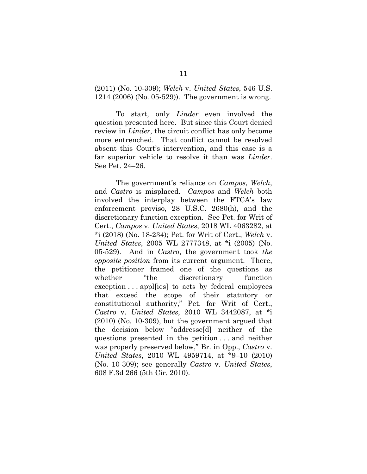<span id="page-14-1"></span>(2011) (No. 10-309); *Welch* v. *United States*, 546 U.S. 1214 (2006) (No. 05-529)). The government is wrong.

To start, only *Linder* even involved the question presented here. But since this Court denied review in *Linder*, the circuit conflict has only become more entrenched. That conflict cannot be resolved absent this Court's intervention, and this case is a far superior vehicle to resolve it than was *Linder*. See Pet. 24–26.

<span id="page-14-6"></span><span id="page-14-5"></span><span id="page-14-4"></span><span id="page-14-3"></span><span id="page-14-2"></span><span id="page-14-0"></span>The government's reliance on *Campos*, *Welch*, and *Castro* is misplaced. *Campos* and *Welch* both involved the interplay between the FTCA's law enforcement proviso, 28 U.S.C. 2680(h), and the discretionary function exception. See Pet. for Writ of Cert., *Campos* v. *United States*, 2018 WL 4063282, at \*i (2018) (No. 18-234); Pet. for Writ of Cert., *Welch* v. *United States*, 2005 WL 2777348, at \*i (2005) (No. 05-529). And in *Castro*, the government took *the opposite position* from its current argument. There, the petitioner framed one of the questions as whether "the discretionary function exception . . . appl[ies] to acts by federal employees that exceed the scope of their statutory or constitutional authority," Pet. for Writ of Cert., *Castro* v. *United States*, 2010 WL 3442087, at \*i (2010) (No. 10-309), but the government argued that the decision below "addresse[d] neither of the questions presented in the petition . . . and neither was properly preserved below," Br. in Opp., *Castro* v. *United States*, 2010 WL 4959714, at \*9–10 (2010) (No. 10-309); see generally *Castro* v. *United States*, 608 F.3d 266 (5th Cir. 2010).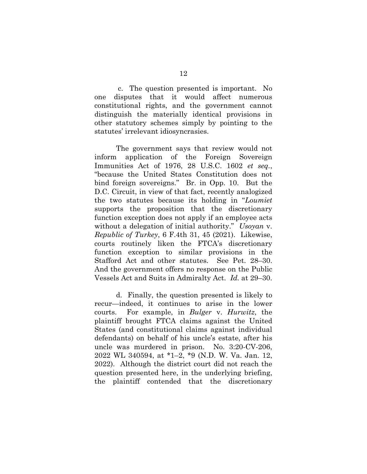c. The question presented is important. No one disputes that it would affect numerous constitutional rights, and the government cannot distinguish the materially identical provisions in other statutory schemes simply by pointing to the statutes' irrelevant idiosyncrasies.

<span id="page-15-2"></span>The government says that review would not inform application of the Foreign Sovereign Immunities Act of 1976, 28 U.S.C. 1602 *et seq.*, "because the United States Constitution does not bind foreign sovereigns." Br. in Opp. 10. But the D.C. Circuit, in view of that fact, recently analogized the two statutes because its holding in "*Loumiet* supports the proposition that the discretionary function exception does not apply if an employee acts without a delegation of initial authority." *Usoyan* v. *Republic of Turkey*, 6 F.4th 31, 45 (2021). Likewise, courts routinely liken the FTCA's discretionary function exception to similar provisions in the Stafford Act and other statutes. See Pet. 28–30. And the government offers no response on the Public Vessels Act and Suits in Admiralty Act. *Id.* at 29–30.

<span id="page-15-1"></span><span id="page-15-0"></span>d. Finally, the question presented is likely to recur—indeed, it continues to arise in the lower courts. For example, in *Bulger* v. *Hurwitz*, the plaintiff brought FTCA claims against the United States (and constitutional claims against individual defendants) on behalf of his uncle's estate, after his uncle was murdered in prison. No. 3:20-CV-206, 2022 WL 340594, at \*1–2, \*9 (N.D. W. Va. Jan. 12, 2022). Although the district court did not reach the question presented here, in the underlying briefing, the plaintiff contended that the discretionary